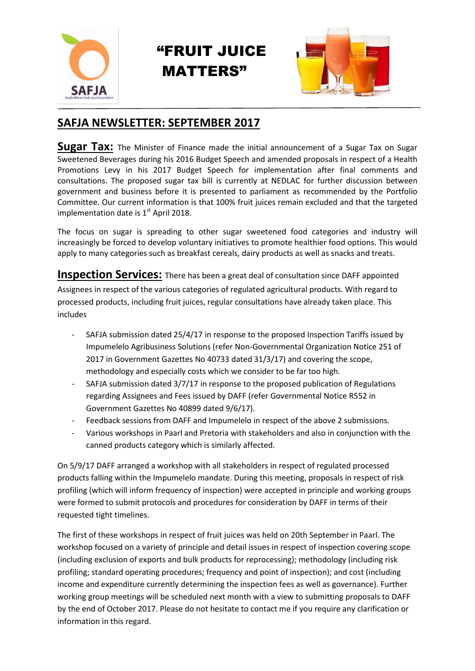

## "FRUIT JUICE MATTERS"



## **SAFJA NEWSLETTER: SEPTEMBER 2017**

**Sugar Tax:** The Minister of Finance made the initial announcement of a Sugar Tax on Sugar Sweetened Beverages during his 2016 Budget Speech and amended proposals in respect of a Health Promotions Levy in his 2017 Budget Speech for implementation after final comments and consultations. The proposed sugar tax bill is currently at NEDLAC for further discussion between government and business before it is presented to parliament as recommended by the Portfolio Committee. Our current information is that 100% fruit juices remain excluded and that the targeted implementation date is  $1<sup>st</sup>$  April 2018.

The focus on sugar is spreading to other sugar sweetened food categories and industry will increasingly be forced to develop voluntary initiatives to promote healthier food options. This would apply to many categories such as breakfast cereals, dairy products as well as snacks and treats.

**Inspection Services:** There has been a great deal of consultation since DAFF appointed Assignees in respect of the various categories of regulated agricultural products. With regard to processed products, including fruit juices, regular consultations have already taken place. This includes

- SAFJA submission dated 25/4/17 in response to the proposed Inspection Tariffs issued by Impumelelo Agribusiness Solutions (refer Non-Governmental Organization Notice 251 of 2017 in Government Gazettes No 40733 dated 31/3/17) and covering the scope, methodology and especially costs which we consider to be far too high.
- SAFJA submission dated 3/7/17 in response to the proposed publication of Regulations regarding Assignees and Fees issued by DAFF (refer Governmental Notice R552 in Government Gazettes No 40899 dated 9/6/17).
- Feedback sessions from DAFF and Impumelelo in respect of the above 2 submissions.
- Various workshops in Paarl and Pretoria with stakeholders and also in conjunction with the canned products category which is similarly affected.

On 5/9/17 DAFF arranged a workshop with all stakeholders in respect of regulated processed products falling within the Impumelelo mandate. During this meeting, proposals in respect of risk profiling (which will inform frequency of inspection) were accepted in principle and working groups were formed to submit protocols and procedures for consideration by DAFF in terms of their requested tight timelines.

The first of these workshops in respect of fruit juices was held on 20th September in Paarl. The workshop focused on a variety of principle and detail issues in respect of inspection covering scope (including exclusion of exports and bulk products for reprocessing); methodology (including risk profiling; standard operating procedures; frequency and point of inspection); and cost (including income and expenditure currently determining the inspection fees as well as governance). Further working group meetings will be scheduled next month with a view to submitting proposals to DAFF by the end of October 2017. Please do not hesitate to contact me if you require any clarification or information in this regard.